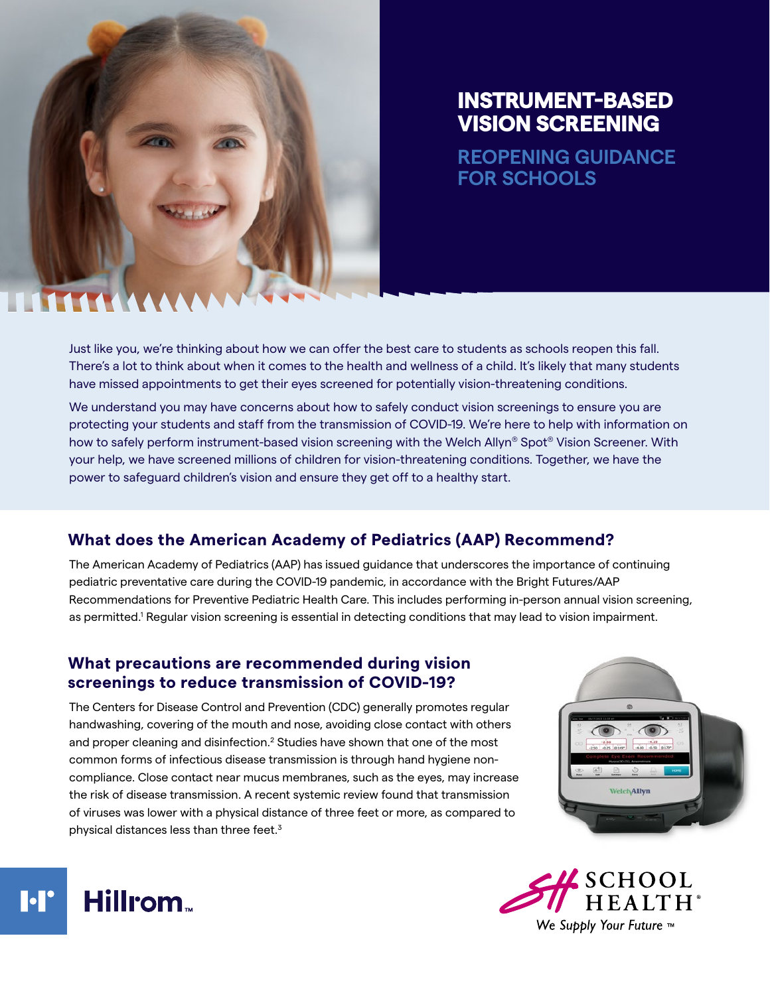

# INSTRUMENT-BASED VISION SCREENING

**REOPENING GUIDANCE FOR SCHOOLS**

Just like you, we're thinking about how we can offer the best care to students as schools reopen this fall. There's a lot to think about when it comes to the health and wellness of a child. It's likely that many students have missed appointments to get their eyes screened for potentially vision-threatening conditions.

We understand you may have concerns about how to safely conduct vision screenings to ensure you are protecting your students and staff from the transmission of COVID-19. We're here to help with information on how to safely perform instrument-based vision screening with the Welch Allyn® Spot® Vision Screener. With your help, we have screened millions of children for vision-threatening conditions. Together, we have the power to safeguard children's vision and ensure they get off to a healthy start.

## **What does the American Academy of Pediatrics (AAP) Recommend?**

The American Academy of Pediatrics (AAP) has issued guidance that underscores the importance of continuing pediatric preventative care during the COVID-19 pandemic, in accordance with the Bright Futures/AAP Recommendations for Preventive Pediatric Health Care. This includes performing in-person annual vision screening, as permitted.<sup>1</sup> Regular vision screening is essential in detecting conditions that may lead to vision impairment.

## **What precautions are recommended during vision screenings to reduce transmission of COVID-19?**

The Centers for Disease Control and Prevention (CDC) generally promotes regular handwashing, covering of the mouth and nose, avoiding close contact with others and proper cleaning and disinfection. $2$  Studies have shown that one of the most common forms of infectious disease transmission is through hand hygiene noncompliance. Close contact near mucus membranes, such as the eyes, may increase the risk of disease transmission. A recent systemic review found that transmission of viruses was lower with a physical distance of three feet or more, as compared to physical distances less than three feet.3